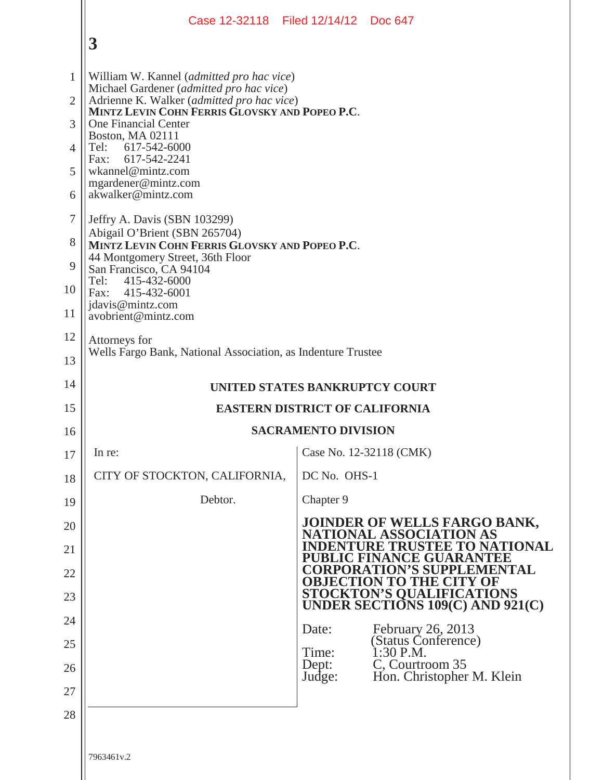|                |                                                                                                                                          | Case 12-32118 Filed 12/14/12 Doc 647                                                                     |
|----------------|------------------------------------------------------------------------------------------------------------------------------------------|----------------------------------------------------------------------------------------------------------|
|                | 3                                                                                                                                        |                                                                                                          |
| 1              | William W. Kannel ( <i>admitted pro hac vice</i> )                                                                                       |                                                                                                          |
| $\overline{2}$ | Michael Gardener (admitted pro hac vice)<br>Adrienne K. Walker (admitted pro hac vice)<br>MINTZ LEVIN COHN FERRIS GLOVSKY AND POPEO P.C. |                                                                                                          |
| 3              | <b>One Financial Center</b><br>Boston, MA 02111                                                                                          |                                                                                                          |
| $\overline{4}$ | Tel: 617-542-6000<br>617-542-2241<br>Fax:                                                                                                |                                                                                                          |
| 5              | wkannel@mintz.com<br>mgardener@mintz.com                                                                                                 |                                                                                                          |
| 6              | akwalker@mintz.com                                                                                                                       |                                                                                                          |
| 7              | Jeffry A. Davis (SBN 103299)<br>Abigail O'Brient (SBN 265704)                                                                            |                                                                                                          |
| 8              | MINTZ LEVIN COHN FERRIS GLOVSKY AND POPEO P.C.<br>44 Montgomery Street, 36th Floor                                                       |                                                                                                          |
| 9<br>10        | San Francisco, CA 94104<br>Tel:<br>415-432-6000                                                                                          |                                                                                                          |
| 11             | Fax: 415-432-6001<br>jdavis@mintz.com<br>avobrient@mintz.com                                                                             |                                                                                                          |
| 12             | Attorneys for                                                                                                                            |                                                                                                          |
| 13             | Wells Fargo Bank, National Association, as Indenture Trustee                                                                             |                                                                                                          |
| 14             |                                                                                                                                          | UNITED STATES BANKRUPTCY COURT                                                                           |
| 15             |                                                                                                                                          | <b>EASTERN DISTRICT OF CALIFORNIA</b>                                                                    |
| 16             |                                                                                                                                          | <b>SACRAMENTO DIVISION</b>                                                                               |
| 17             | In re:                                                                                                                                   | Case No. 12-32118 (CMK)                                                                                  |
| 18             | CITY OF STOCKTON, CALIFORNIA,                                                                                                            | DC No. OHS-1                                                                                             |
| 19             | Debtor.                                                                                                                                  | Chapter 9                                                                                                |
| 20<br>21       |                                                                                                                                          | JOINDER OF WELLS FARGO BANK, NATIONAL ASSOCIATION AS<br><b>INDENTURE TRUSTEE TO NATIONAL</b>             |
| 22             |                                                                                                                                          | <b>PUBLIC FINANCE GUARANTEE</b><br><b>CORPORATION'S SUPPLEMENTAL</b>                                     |
| 23             |                                                                                                                                          | <b>OBJECTION TO THE CITY OF</b><br><b>STOCKTON'S QUALIFICATIONS<br/>UNDER SECTIONS 109(C) AND 921(C)</b> |
| 24             |                                                                                                                                          |                                                                                                          |
| 25             |                                                                                                                                          | February 26, 2013<br>Date:<br>(Status Conference)                                                        |
| 26             |                                                                                                                                          | Time:<br>$1:30$ P.M.<br>C, Courtroom 35<br>Dept:<br>Hon. Christopher M. Klein<br>Judge:                  |
| 27             |                                                                                                                                          |                                                                                                          |
| 28             |                                                                                                                                          |                                                                                                          |
|                | 7963461v.2                                                                                                                               |                                                                                                          |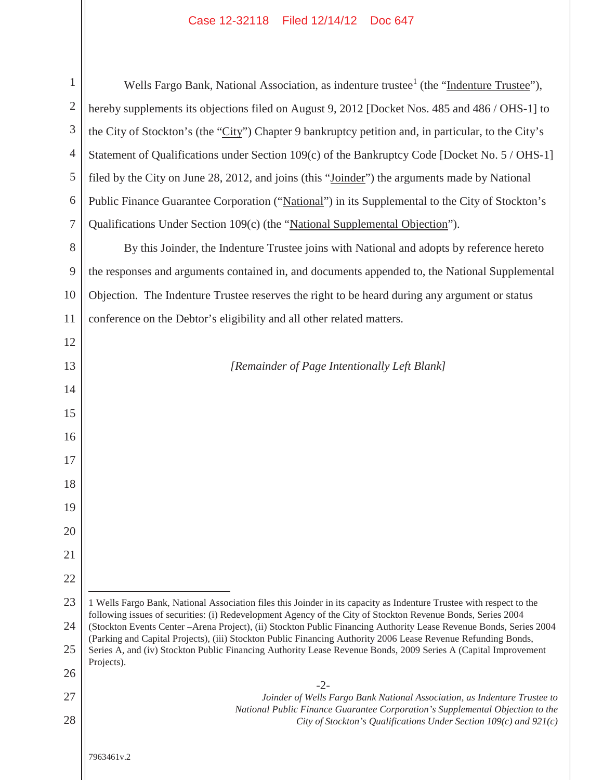## Case 12-32118 Filed 12/14/12 Doc 647

| $\mathbf{1}$   | Wells Fargo Bank, National Association, as indenture trustee <sup>1</sup> (the "Indenture Trustee"),                                                                                                                               |
|----------------|------------------------------------------------------------------------------------------------------------------------------------------------------------------------------------------------------------------------------------|
| $\overline{2}$ | hereby supplements its objections filed on August 9, 2012 [Docket Nos. 485 and 486 / OHS-1] to                                                                                                                                     |
| 3              | the City of Stockton's (the "City") Chapter 9 bankruptcy petition and, in particular, to the City's                                                                                                                                |
| $\overline{4}$ | Statement of Qualifications under Section 109(c) of the Bankruptcy Code [Docket No. 5 / OHS-1]                                                                                                                                     |
| 5              | filed by the City on June 28, 2012, and joins (this "Joinder") the arguments made by National                                                                                                                                      |
| 6              | Public Finance Guarantee Corporation ("National") in its Supplemental to the City of Stockton's                                                                                                                                    |
| $\overline{7}$ | Qualifications Under Section 109(c) (the "National Supplemental Objection").                                                                                                                                                       |
| 8              | By this Joinder, the Indenture Trustee joins with National and adopts by reference hereto                                                                                                                                          |
| 9              | the responses and arguments contained in, and documents appended to, the National Supplemental                                                                                                                                     |
| 10             | Objection. The Indenture Trustee reserves the right to be heard during any argument or status                                                                                                                                      |
| 11             | conference on the Debtor's eligibility and all other related matters.                                                                                                                                                              |
| 12             |                                                                                                                                                                                                                                    |
| 13             | [Remainder of Page Intentionally Left Blank]                                                                                                                                                                                       |
| 14             |                                                                                                                                                                                                                                    |
| 15             |                                                                                                                                                                                                                                    |
| 16             |                                                                                                                                                                                                                                    |
| 17             |                                                                                                                                                                                                                                    |
| 18             |                                                                                                                                                                                                                                    |
| 19             |                                                                                                                                                                                                                                    |
| 20             |                                                                                                                                                                                                                                    |
| 21             |                                                                                                                                                                                                                                    |
| 22             |                                                                                                                                                                                                                                    |
| 23             | 1 Wells Fargo Bank, National Association files this Joinder in its capacity as Indenture Trustee with respect to the                                                                                                               |
| 24             | following issues of securities: (i) Redevelopment Agency of the City of Stockton Revenue Bonds, Series 2004<br>(Stockton Events Center - Arena Project), (ii) Stockton Public Financing Authority Lease Revenue Bonds, Series 2004 |
| 25             | (Parking and Capital Projects), (iii) Stockton Public Financing Authority 2006 Lease Revenue Refunding Bonds,<br>Series A, and (iv) Stockton Public Financing Authority Lease Revenue Bonds, 2009 Series A (Capital Improvement    |
| 26             | Projects).                                                                                                                                                                                                                         |
| 27             | $-2-$<br>Joinder of Wells Fargo Bank National Association, as Indenture Trustee to                                                                                                                                                 |
| 28             | National Public Finance Guarantee Corporation's Supplemental Objection to the<br>City of Stockton's Qualifications Under Section $109(c)$ and $921(c)$                                                                             |
|                |                                                                                                                                                                                                                                    |
|                | 7963461v.2                                                                                                                                                                                                                         |
|                |                                                                                                                                                                                                                                    |